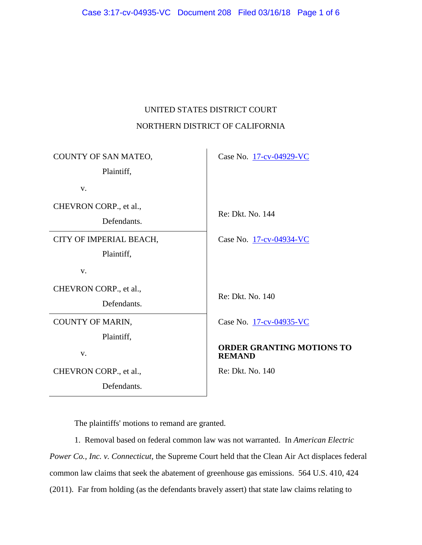# UNITED STATES DISTRICT COURT NORTHERN DISTRICT OF CALIFORNIA

| COUNTY OF SAN MATEO,<br>Plaintiff,    | Case No. 17-cv-04929-VC                           |
|---------------------------------------|---------------------------------------------------|
| V.                                    |                                                   |
| CHEVRON CORP., et al.,<br>Defendants. | Re: Dkt. No. 144                                  |
| CITY OF IMPERIAL BEACH,<br>Plaintiff, | Case No. 17-cv-04934-VC                           |
| V.                                    |                                                   |
| CHEVRON CORP., et al.,<br>Defendants. | Re: Dkt. No. 140                                  |
| COUNTY OF MARIN,<br>Plaintiff,        | Case No. 17-cv-04935-VC                           |
| V.                                    | <b>ORDER GRANTING MOTIONS TO</b><br><b>REMAND</b> |
| CHEVRON CORP., et al.,                | Re: Dkt. No. 140                                  |
| Defendants.                           |                                                   |

The plaintiffs' motions to remand are granted.

1. Removal based on federal common law was not warranted. In *American Electric Power Co., Inc. v. Connecticut*, the Supreme Court held that the Clean Air Act displaces federal common law claims that seek the abatement of greenhouse gas emissions. 564 U.S. 410, 424 (2011). Far from holding (as the defendants bravely assert) that state law claims relating to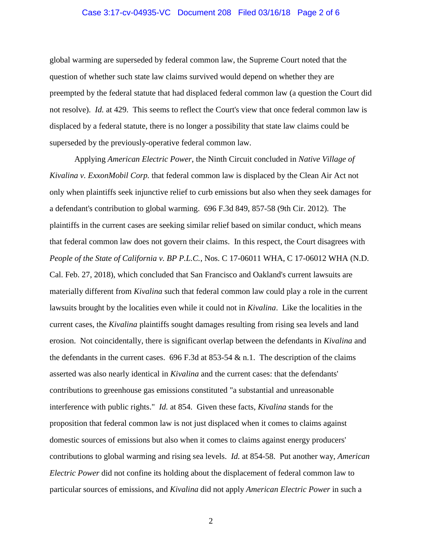#### Case 3:17-cv-04935-VC Document 208 Filed 03/16/18 Page 2 of 6

global warming are superseded by federal common law, the Supreme Court noted that the question of whether such state law claims survived would depend on whether they are preempted by the federal statute that had displaced federal common law (a question the Court did not resolve). *Id.* at 429. This seems to reflect the Court's view that once federal common law is displaced by a federal statute, there is no longer a possibility that state law claims could be superseded by the previously-operative federal common law.

Applying *American Electric Power*, the Ninth Circuit concluded in *Native Village of Kivalina v. ExxonMobil Corp.* that federal common law is displaced by the Clean Air Act not only when plaintiffs seek injunctive relief to curb emissions but also when they seek damages for a defendant's contribution to global warming. 696 F.3d 849, 857-58 (9th Cir. 2012). The plaintiffs in the current cases are seeking similar relief based on similar conduct, which means that federal common law does not govern their claims. In this respect, the Court disagrees with *People of the State of California v. BP P.L.C.*, Nos. C 17-06011 WHA, C 17-06012 WHA (N.D. Cal. Feb. 27, 2018), which concluded that San Francisco and Oakland's current lawsuits are materially different from *Kivalina* such that federal common law could play a role in the current lawsuits brought by the localities even while it could not in *Kivalina*. Like the localities in the current cases, the *Kivalina* plaintiffs sought damages resulting from rising sea levels and land erosion. Not coincidentally, there is significant overlap between the defendants in *Kivalina* and the defendants in the current cases. 696 F.3d at 853-54  $\&$  n.1. The description of the claims asserted was also nearly identical in *Kivalina* and the current cases: that the defendants' contributions to greenhouse gas emissions constituted "a substantial and unreasonable interference with public rights." *Id.* at 854. Given these facts, *Kivalina* stands for the proposition that federal common law is not just displaced when it comes to claims against domestic sources of emissions but also when it comes to claims against energy producers' contributions to global warming and rising sea levels. *Id.* at 854-58. Put another way, *American Electric Power* did not confine its holding about the displacement of federal common law to particular sources of emissions, and *Kivalina* did not apply *American Electric Power* in such a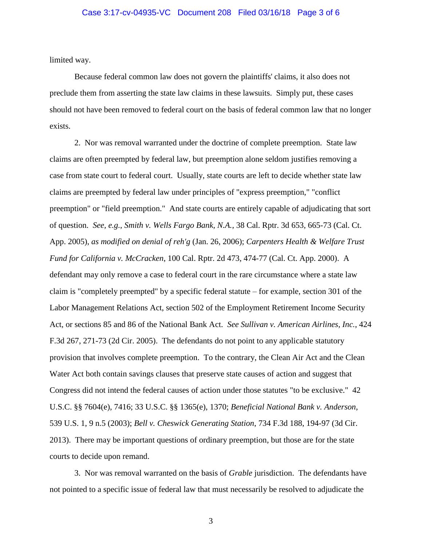#### Case 3:17-cv-04935-VC Document 208 Filed 03/16/18 Page 3 of 6

limited way.

Because federal common law does not govern the plaintiffs' claims, it also does not preclude them from asserting the state law claims in these lawsuits. Simply put, these cases should not have been removed to federal court on the basis of federal common law that no longer exists.

2. Nor was removal warranted under the doctrine of complete preemption. State law claims are often preempted by federal law, but preemption alone seldom justifies removing a case from state court to federal court. Usually, state courts are left to decide whether state law claims are preempted by federal law under principles of "express preemption," "conflict preemption" or "field preemption." And state courts are entirely capable of adjudicating that sort of question. *See, e.g.*, *Smith v. Wells Fargo Bank, N.A.*, 38 Cal. Rptr. 3d 653, 665-73 (Cal. Ct. App. 2005), *as modified on denial of reh'g* (Jan. 26, 2006); *Carpenters Health & Welfare Trust Fund for California v. McCracken*, 100 Cal. Rptr. 2d 473, 474-77 (Cal. Ct. App. 2000). A defendant may only remove a case to federal court in the rare circumstance where a state law claim is "completely preempted" by a specific federal statute – for example, section 301 of the Labor Management Relations Act, section 502 of the Employment Retirement Income Security Act, or sections 85 and 86 of the National Bank Act. *See Sullivan v. American Airlines, Inc.*, 424 F.3d 267, 271-73 (2d Cir. 2005). The defendants do not point to any applicable statutory provision that involves complete preemption. To the contrary, the Clean Air Act and the Clean Water Act both contain savings clauses that preserve state causes of action and suggest that Congress did not intend the federal causes of action under those statutes "to be exclusive." 42 U.S.C. §§ 7604(e), 7416; 33 U.S.C. §§ 1365(e), 1370; *Beneficial National Bank v. Anderson*, 539 U.S. 1, 9 n.5 (2003); *Bell v. Cheswick Generating Station*, 734 F.3d 188, 194-97 (3d Cir. 2013). There may be important questions of ordinary preemption, but those are for the state courts to decide upon remand.

3. Nor was removal warranted on the basis of *Grable* jurisdiction. The defendants have not pointed to a specific issue of federal law that must necessarily be resolved to adjudicate the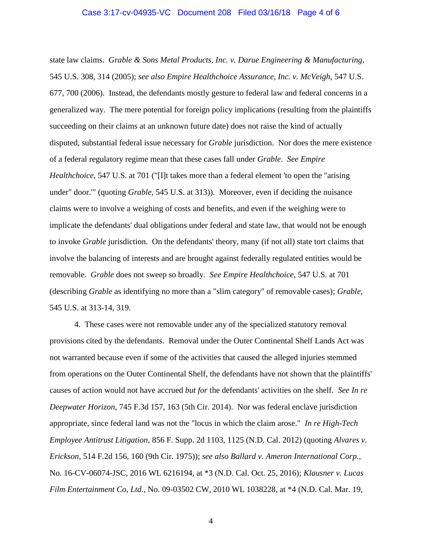state law claims. *Grable & Sons Metal Products, Inc. v. Darue Engineering & Manufacturing*, 545 U.S. 308, 314 (2005); *see also Empire Healthchoice Assurance, Inc. v. McVeigh*, 547 U.S. 677, 700 (2006). Instead, the defendants mostly gesture to federal law and federal concerns in a generalized way. The mere potential for foreign policy implications (resulting from the plaintiffs succeeding on their claims at an unknown future date) does not raise the kind of actually disputed, substantial federal issue necessary for *Grable* jurisdiction. Nor does the mere existence of a federal regulatory regime mean that these cases fall under *Grable*. *See Empire Healthchoice*, 547 U.S. at 701 ("[I]t takes more than a federal element 'to open the "arising" under" door.'" (quoting *Grable*, 545 U.S. at 313)). Moreover, even if deciding the nuisance claims were to involve a weighing of costs and benefits, and even if the weighing were to implicate the defendants' dual obligations under federal and state law, that would not be enough to invoke *Grable* jurisdiction. On the defendants' theory, many (if not all) state tort claims that involve the balancing of interests and are brought against federally regulated entities would be removable. *Grable* does not sweep so broadly. *See Empire Healthchoice*, 547 U.S. at 701 (describing *Grable* as identifying no more than a "slim category" of removable cases); *Grable*, 545 U.S. at 313-14, 319.

4. These cases were not removable under any of the specialized statutory removal provisions cited by the defendants. Removal under the Outer Continental Shelf Lands Act was not warranted because even if some of the activities that caused the alleged injuries stemmed from operations on the Outer Continental Shelf, the defendants have not shown that the plaintiffs' causes of action would not have accrued *but for* the defendants' activities on the shelf. *See In re Deepwater Horizon*, 745 F.3d 157, 163 (5th Cir. 2014). Nor was federal enclave jurisdiction appropriate, since federal land was not the "locus in which the claim arose." *In re High-Tech Employee Antitrust Litigation*, 856 F. Supp. 2d 1103, 1125 (N.D. Cal. 2012) (quoting *Alvares v. Erickson*, 514 F.2d 156, 160 (9th Cir. 1975)); *see also Ballard v. Ameron International Corp.*, No. 16-CV-06074-JSC, 2016 WL 6216194, at \*3 (N.D. Cal. Oct. 25, 2016); *Klausner v. Lucas Film Entertainment Co, Ltd.*, No. 09-03502 CW, 2010 WL 1038228, at \*4 (N.D. Cal. Mar. 19,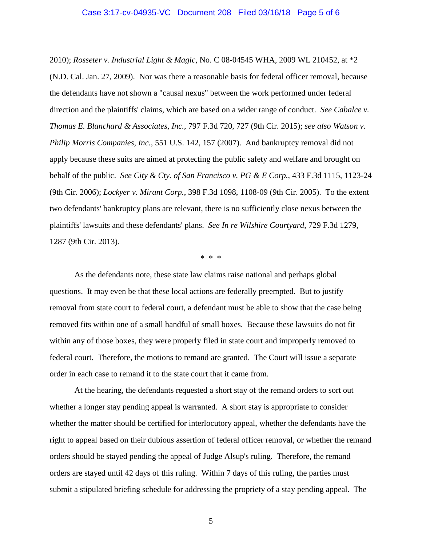#### Case 3:17-cv-04935-VC Document 208 Filed 03/16/18 Page 5 of 6

2010); *Rosseter v. Industrial Light & Magic*, No. C 08-04545 WHA, 2009 WL 210452, at \*2 (N.D. Cal. Jan. 27, 2009). Nor was there a reasonable basis for federal officer removal, because the defendants have not shown a "causal nexus" between the work performed under federal direction and the plaintiffs' claims, which are based on a wider range of conduct. *See Cabalce v. Thomas E. Blanchard & Associates, Inc.*, 797 F.3d 720, 727 (9th Cir. 2015); *see also Watson v. Philip Morris Companies, Inc.*, 551 U.S. 142, 157 (2007). And bankruptcy removal did not apply because these suits are aimed at protecting the public safety and welfare and brought on behalf of the public. *See City & Cty. of San Francisco v. PG & E Corp.*, 433 F.3d 1115, 1123-24 (9th Cir. 2006); *Lockyer v. Mirant Corp.*, 398 F.3d 1098, 1108-09 (9th Cir. 2005). To the extent two defendants' bankruptcy plans are relevant, there is no sufficiently close nexus between the plaintiffs' lawsuits and these defendants' plans. *See In re Wilshire Courtyard*, 729 F.3d 1279, 1287 (9th Cir. 2013).

\* \* \*

As the defendants note, these state law claims raise national and perhaps global questions. It may even be that these local actions are federally preempted. But to justify removal from state court to federal court, a defendant must be able to show that the case being removed fits within one of a small handful of small boxes. Because these lawsuits do not fit within any of those boxes, they were properly filed in state court and improperly removed to federal court. Therefore, the motions to remand are granted. The Court will issue a separate order in each case to remand it to the state court that it came from.

At the hearing, the defendants requested a short stay of the remand orders to sort out whether a longer stay pending appeal is warranted. A short stay is appropriate to consider whether the matter should be certified for interlocutory appeal, whether the defendants have the right to appeal based on their dubious assertion of federal officer removal, or whether the remand orders should be stayed pending the appeal of Judge Alsup's ruling. Therefore, the remand orders are stayed until 42 days of this ruling. Within 7 days of this ruling, the parties must submit a stipulated briefing schedule for addressing the propriety of a stay pending appeal. The